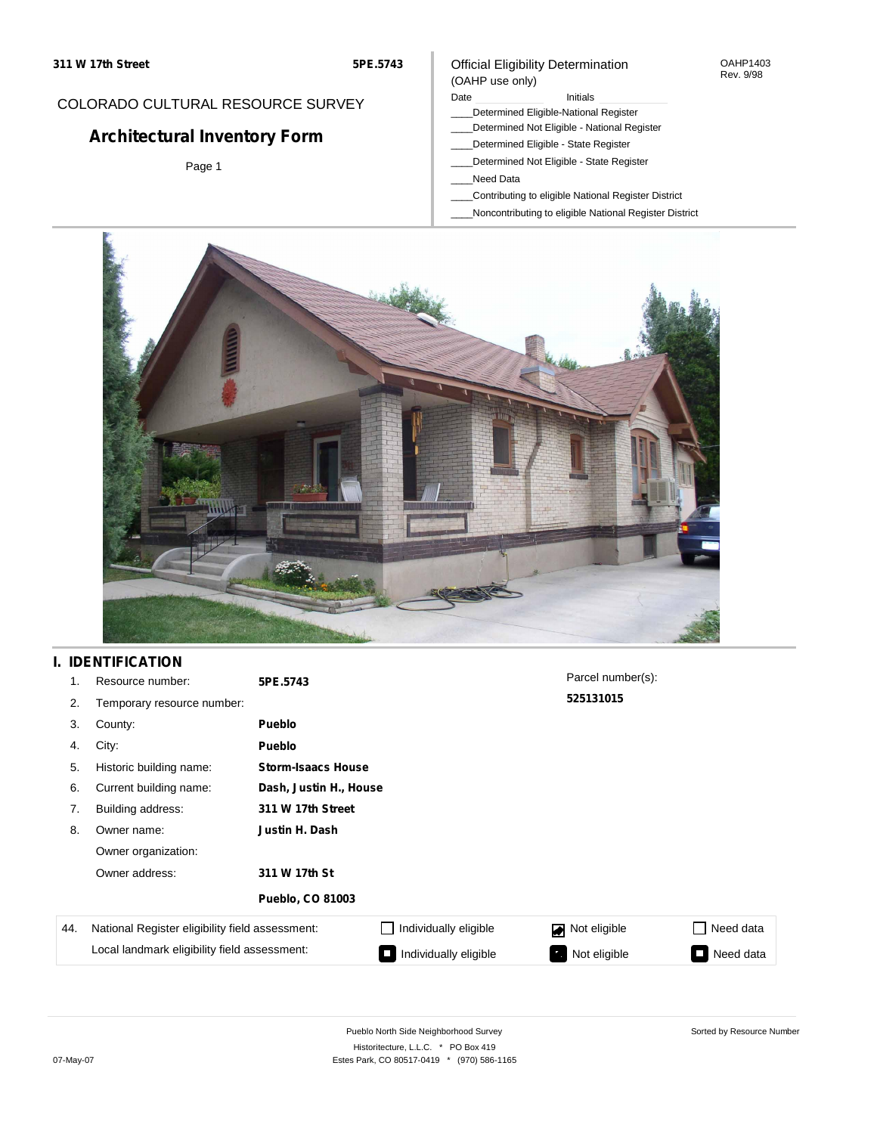#### OAHP1403 Rev. 9/98

### COLORADO CULTURAL RESOURCE SURVEY

# **Architectural Inventory Form**

Page 1

### (OAHP use only) Date **Initials** Initials

Official Eligibility Determination

- \_\_\_\_Determined Eligible-National Register
- \_\_\_\_Determined Not Eligible National Register
- \_\_\_\_Determined Eligible State Register
- \_\_\_\_Determined Not Eligible State Register
- \_\_\_\_Need Data
- \_\_\_\_Contributing to eligible National Register District
- \_\_\_\_Noncontributing to eligible National Register District



## **I. IDENTIFICATION**

| 1.  | Resource number:                                | 5PE.5743                  |                        | Parcel number(s): |                  |  |  |  |
|-----|-------------------------------------------------|---------------------------|------------------------|-------------------|------------------|--|--|--|
| 2.  | Temporary resource number:                      |                           |                        | 525131015         |                  |  |  |  |
| 3.  | County:                                         | <b>Pueblo</b>             |                        |                   |                  |  |  |  |
| 4.  | City:                                           | Pueblo                    |                        |                   |                  |  |  |  |
| 5.  | Historic building name:                         | <b>Storm-Isaacs House</b> |                        |                   |                  |  |  |  |
| 6.  | Current building name:                          |                           | Dash, Justin H., House |                   |                  |  |  |  |
| 7.  | Building address:                               | 311 W 17th Street         |                        |                   |                  |  |  |  |
| 8.  | Owner name:                                     | Justin H. Dash            |                        |                   |                  |  |  |  |
|     | Owner organization:                             |                           |                        |                   |                  |  |  |  |
|     | Owner address:                                  | 311 W 17th St             |                        |                   |                  |  |  |  |
|     |                                                 | <b>Pueblo, CO 81003</b>   |                        |                   |                  |  |  |  |
| 44. | National Register eligibility field assessment: |                           | Individually eligible  | Not eligible      | $\Box$ Need data |  |  |  |
|     | Local landmark eligibility field assessment:    |                           | Individually eligible  | Not eligible      | Need data<br>⊐   |  |  |  |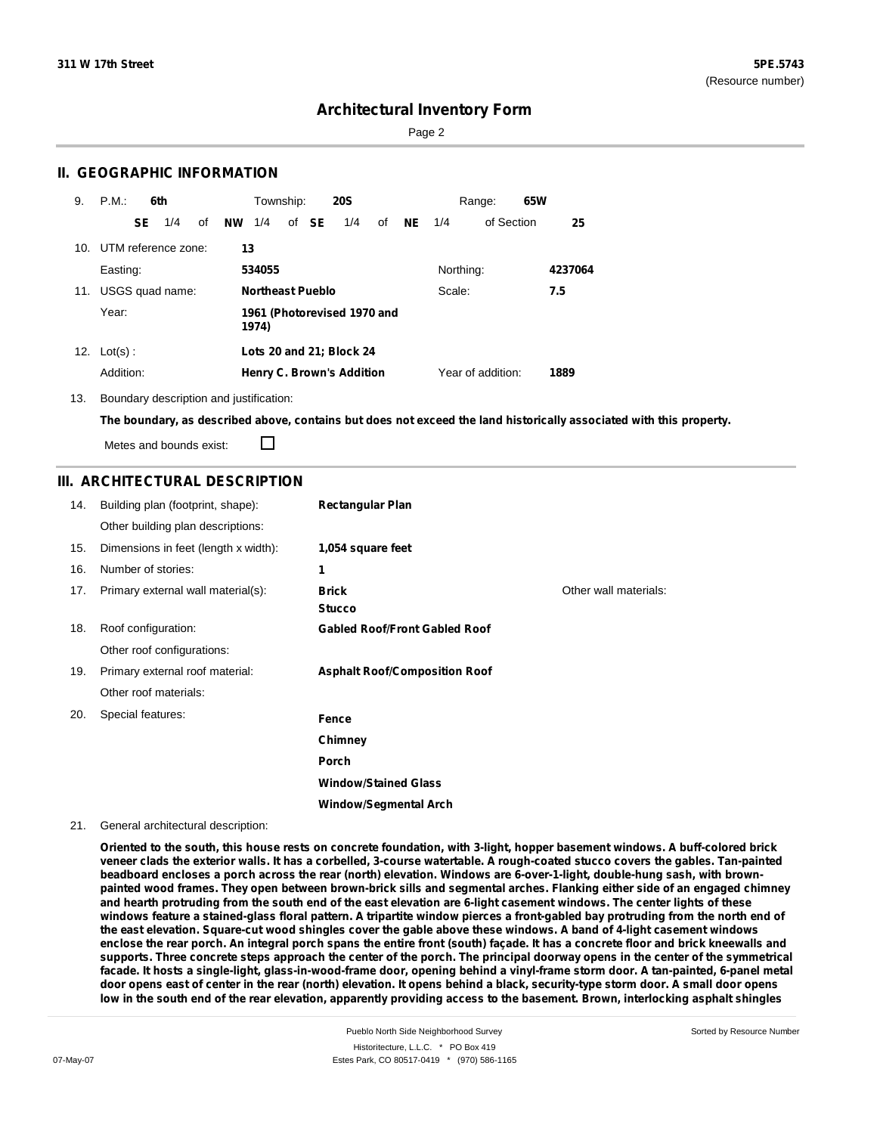Page 2

### **II. GEOGRAPHIC INFORMATION**

| 9.  | P.M.                |    | 6th             |    |    | Township:        |       | <b>20S</b>                       |    |           |           | Range:            | 65W |         |
|-----|---------------------|----|-----------------|----|----|------------------|-------|----------------------------------|----|-----------|-----------|-------------------|-----|---------|
|     |                     | SE | 1/4             | of | NW | 1/4              | of SE | 1/4                              | of | <b>NE</b> | 1/4       | of Section        |     | 25      |
| 10. | UTM reference zone: |    |                 |    | 13 |                  |       |                                  |    |           |           |                   |     |         |
|     | Easting:            |    |                 |    |    | 534055           |       |                                  |    |           | Northing: |                   |     | 4237064 |
| 11. |                     |    | USGS quad name: |    |    | Northeast Pueblo |       |                                  |    |           | Scale:    |                   |     | 7.5     |
|     | Year:               |    |                 |    |    | 1974)            |       | 1961 (Photorevised 1970 and      |    |           |           |                   |     |         |
|     | 12. $Lot(s)$ :      |    |                 |    |    |                  |       | Lots 20 and 21; Block 24         |    |           |           |                   |     |         |
|     | Addition:           |    |                 |    |    |                  |       | <b>Henry C. Brown's Addition</b> |    |           |           | Year of addition: |     | 1889    |

13. Boundary description and justification:

The boundary, as described above, contains but does not exceed the land historically associated with this property.

Metes and bounds exist:

П

### **III. ARCHITECTURAL DESCRIPTION**

| 14. | Building plan (footprint, shape):    | <b>Rectangular Plan</b>              |                       |
|-----|--------------------------------------|--------------------------------------|-----------------------|
|     | Other building plan descriptions:    |                                      |                       |
| 15. | Dimensions in feet (length x width): | 1,054 square feet                    |                       |
| 16. | Number of stories:                   | 1                                    |                       |
| 17. | Primary external wall material(s):   | <b>Brick</b><br><b>Stucco</b>        | Other wall materials: |
| 18. | Roof configuration:                  | <b>Gabled Roof/Front Gabled Roof</b> |                       |
|     | Other roof configurations:           |                                      |                       |
| 19. | Primary external roof material:      | <b>Asphalt Roof/Composition Roof</b> |                       |
|     | Other roof materials:                |                                      |                       |
| 20. | Special features:                    | Fence                                |                       |
|     |                                      | Chimney                              |                       |
|     |                                      | Porch                                |                       |
|     |                                      | <b>Window/Stained Glass</b>          |                       |
|     |                                      | <b>Window/Segmental Arch</b>         |                       |

#### 21. General architectural description:

Oriented to the south, this house rests on concrete foundation, with 3-light, hopper basement windows. A buff-colored brick veneer clads the exterior walls. It has a corbelled, 3-course watertable. A rough-coated stucco covers the gables. Tan-painted beadboard encloses a porch across the rear (north) elevation. Windows are 6-over-1-light, double-hung sash, with brownpainted wood frames. They open between brown-brick sills and segmental arches. Flanking either side of an engaged chimney and hearth protruding from the south end of the east elevation are 6-light casement windows. The center lights of these windows feature a stained-glass floral pattern. A tripartite window pierces a front-gabled bay protruding from the north end of the east elevation. Square-cut wood shingles cover the gable above these windows. A band of 4-light casement windows enclose the rear porch. An integral porch spans the entire front (south) façade. It has a concrete floor and brick kneewalls and supports. Three concrete steps approach the center of the porch. The principal doorway opens in the center of the symmetrical facade. It hosts a single-light, glass-in-wood-frame door, opening behind a vinyl-frame storm door. A tan-painted, 6-panel metal door opens east of center in the rear (north) elevation. It opens behind a black, security-type storm door. A small door opens low in the south end of the rear elevation, apparently providing access to the basement. Brown, interlocking asphalt shingles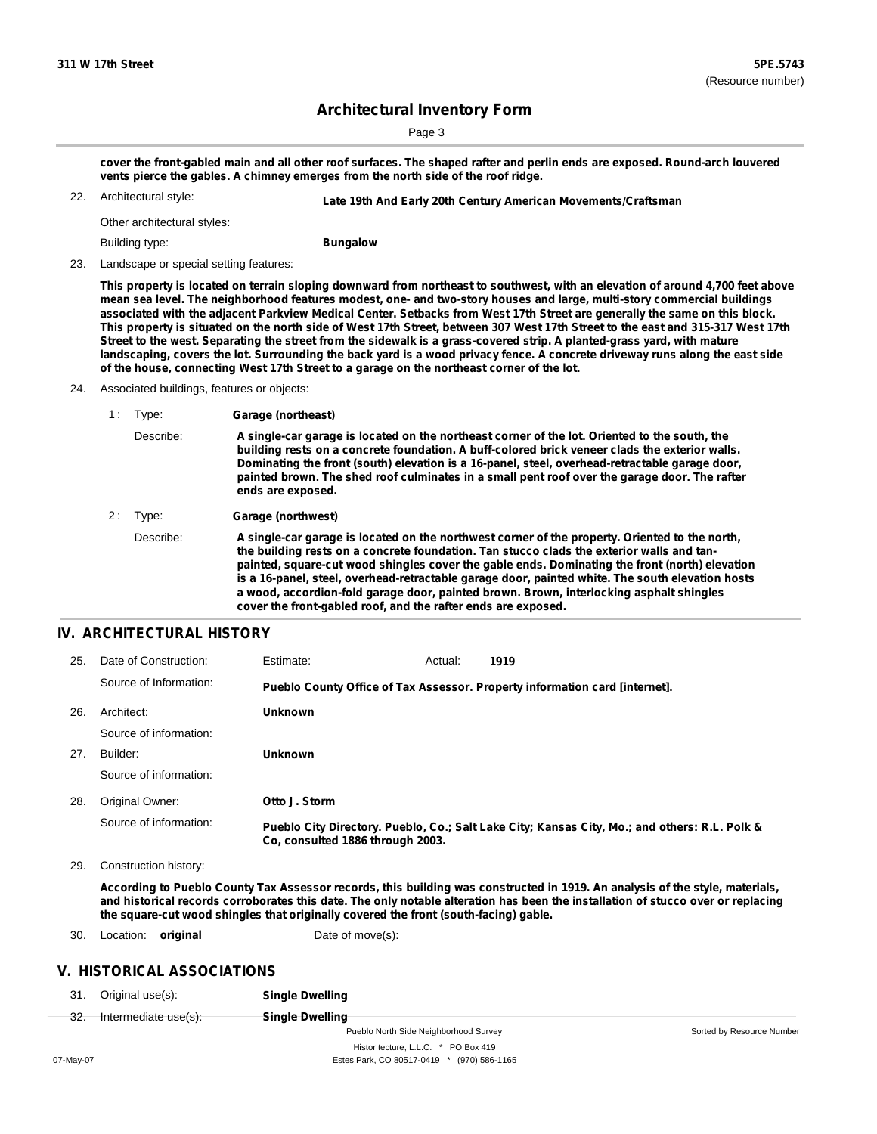Sorted by Resource Number

### **Architectural Inventory Form**

Page 3

cover the front-gabled main and all other roof surfaces. The shaped rafter and perlin ends are exposed. Round-arch louvered **vents pierce the gables. A chimney emerges from the north side of the roof ridge.**

Architectural style: 22. **Late 19th And Early 20th Century American Movements/Craftsman**

Other architectural styles:

Building type:

**Bungalow**

23. Landscape or special setting features:

This property is located on terrain sloping downward from northeast to southwest, with an elevation of around 4,700 feet above mean sea level. The neighborhood features modest, one- and two-story houses and large, multi-story commercial buildings associated with the adjacent Parkview Medical Center. Setbacks from West 17th Street are generally the same on this block. This property is situated on the north side of West 17th Street, between 307 West 17th Street to the east and 315-317 West 17th Street to the west. Separating the street from the sidewalk is a grass-covered strip. A planted-grass yard, with mature landscaping, covers the lot. Surrounding the back yard is a wood privacy fence. A concrete driveway runs along the east side **of the house, connecting West 17th Street to a garage on the northeast corner of the lot.**

24. Associated buildings, features or objects:

| 1: Type:  | Garage (northeast)                        |  |  |  |  |
|-----------|-------------------------------------------|--|--|--|--|
| Describe: | A single-car garag<br>building rests on a |  |  |  |  |
|           | Daminating the fre                        |  |  |  |  |

Describe: **A single-car garage is located on the northeast corner of the lot. Oriented to the south, the building rests on a concrete foundation. A buff-colored brick veneer clads the exterior walls. Dominating the front (south) elevation is a 16-panel, steel, overhead-retractable garage door, painted brown. The shed roof culminates in a small pent roof over the garage door. The rafter ends are exposed.**

2 : Type: **Garage (northwest)**

Describe: **A single-car garage is located on the northwest corner of the property. Oriented to the north, the building rests on a concrete foundation. Tan stucco clads the exterior walls and tanpainted, square-cut wood shingles cover the gable ends. Dominating the front (north) elevation is a 16-panel, steel, overhead-retractable garage door, painted white. The south elevation hosts a wood, accordion-fold garage door, painted brown. Brown, interlocking asphalt shingles cover the front-gabled roof, and the rafter ends are exposed.**

### **IV. ARCHITECTURAL HISTORY**

| 25. | Date of Construction:  | Estimate:                        | Actual: | 1919                                                                                          |
|-----|------------------------|----------------------------------|---------|-----------------------------------------------------------------------------------------------|
|     | Source of Information: |                                  |         | Pueblo County Office of Tax Assessor. Property information card [internet].                   |
| 26. | Architect:             | <b>Unknown</b>                   |         |                                                                                               |
|     | Source of information: |                                  |         |                                                                                               |
| 27. | Builder:               | <b>Unknown</b>                   |         |                                                                                               |
|     | Source of information: |                                  |         |                                                                                               |
| 28. | Original Owner:        | Otto J. Storm                    |         |                                                                                               |
|     | Source of information: | Co. consulted 1886 through 2003. |         | Pueblo City Directory. Pueblo, Co.; Salt Lake City; Kansas City, Mo.; and others: R.L. Polk & |

29. Construction history:

According to Pueblo County Tax Assessor records, this building was constructed in 1919. An analysis of the style, materials, and historical records corroborates this date. The only notable alteration has been the installation of stucco over or replacing **the square-cut wood shingles that originally covered the front (south-facing) gable.**

30. Location: **original** Date of move(s):

### **V. HISTORICAL ASSOCIATIONS**

31. Original use(s): **Single Dwelling**

| ົດ  |                      |
|-----|----------------------|
| จz. | Intermediate use(s): |

**Single Dwelling** Pueblo North Side Neighborhood Survey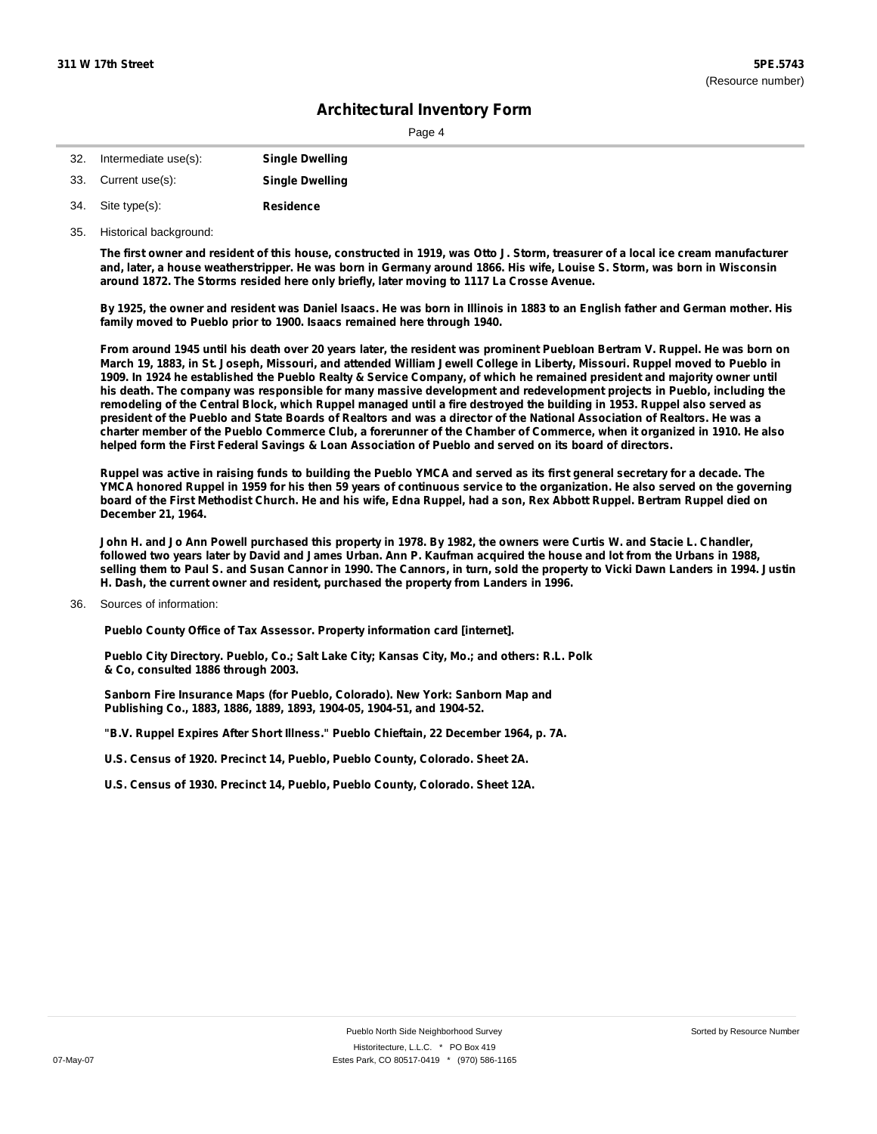| -32. | Intermediate use(s): | <b>Single Dwelling</b> |
|------|----------------------|------------------------|
|      | 33. Current use(s):  | <b>Single Dwelling</b> |
|      | 34. Site type(s):    | <b>Residence</b>       |

35. Historical background:

The first owner and resident of this house, constructed in 1919, was Otto J. Storm, treasurer of a local ice cream manufacturer and, later, a house weatherstripper. He was born in Germany around 1866. His wife, Louise S. Storm, was born in Wisconsin **around 1872. The Storms resided here only briefly, later moving to 1117 La Crosse Avenue.**

By 1925, the owner and resident was Daniel Isaacs. He was born in Illinois in 1883 to an English father and German mother. His **family moved to Pueblo prior to 1900. Isaacs remained here through 1940.**

From around 1945 until his death over 20 years later, the resident was prominent Puebloan Bertram V. Ruppel. He was born on March 19, 1883, in St. Joseph, Missouri, and attended William Jewell College in Liberty, Missouri. Ruppel moved to Pueblo in 1909. In 1924 he established the Pueblo Realty & Service Company, of which he remained president and majority owner until his death. The company was responsible for many massive development and redevelopment projects in Pueblo, including the remodeling of the Central Block, which Ruppel managed until a fire destroyed the building in 1953. Ruppel also served as president of the Pueblo and State Boards of Realtors and was a director of the National Association of Realtors. He was a charter member of the Pueblo Commerce Club, a forerunner of the Chamber of Commerce, when it organized in 1910. He also helped form the First Federal Savings & Loan Association of Pueblo and served on its board of directors.

Ruppel was active in raising funds to building the Pueblo YMCA and served as its first general secretary for a decade. The YMCA honored Ruppel in 1959 for his then 59 years of continuous service to the organization. He also served on the governing board of the First Methodist Church. He and his wife, Edna Ruppel, had a son, Rex Abbott Ruppel. Bertram Ruppel died on **December 21, 1964.**

John H. and Jo Ann Powell purchased this property in 1978. By 1982, the owners were Curtis W. and Stacie L. Chandler, followed two years later by David and James Urban. Ann P. Kaufman acquired the house and lot from the Urbans in 1988, selling them to Paul S. and Susan Cannor in 1990. The Cannors, in turn, sold the property to Vicki Dawn Landers in 1994. Justin **H. Dash, the current owner and resident, purchased the property from Landers in 1996.**

Sources of information: 36.

**Pueblo County Office of Tax Assessor. Property information card [internet].**

**Pueblo City Directory. Pueblo, Co.; Salt Lake City; Kansas City, Mo.; and others: R.L. Polk & Co, consulted 1886 through 2003.**

**Sanborn Fire Insurance Maps (for Pueblo, Colorado). New York: Sanborn Map and Publishing Co., 1883, 1886, 1889, 1893, 1904-05, 1904-51, and 1904-52.**

**"B.V. Ruppel Expires After Short Illness." Pueblo Chieftain, 22 December 1964, p. 7A.**

**U.S. Census of 1920. Precinct 14, Pueblo, Pueblo County, Colorado. Sheet 2A.**

**U.S. Census of 1930. Precinct 14, Pueblo, Pueblo County, Colorado. Sheet 12A.**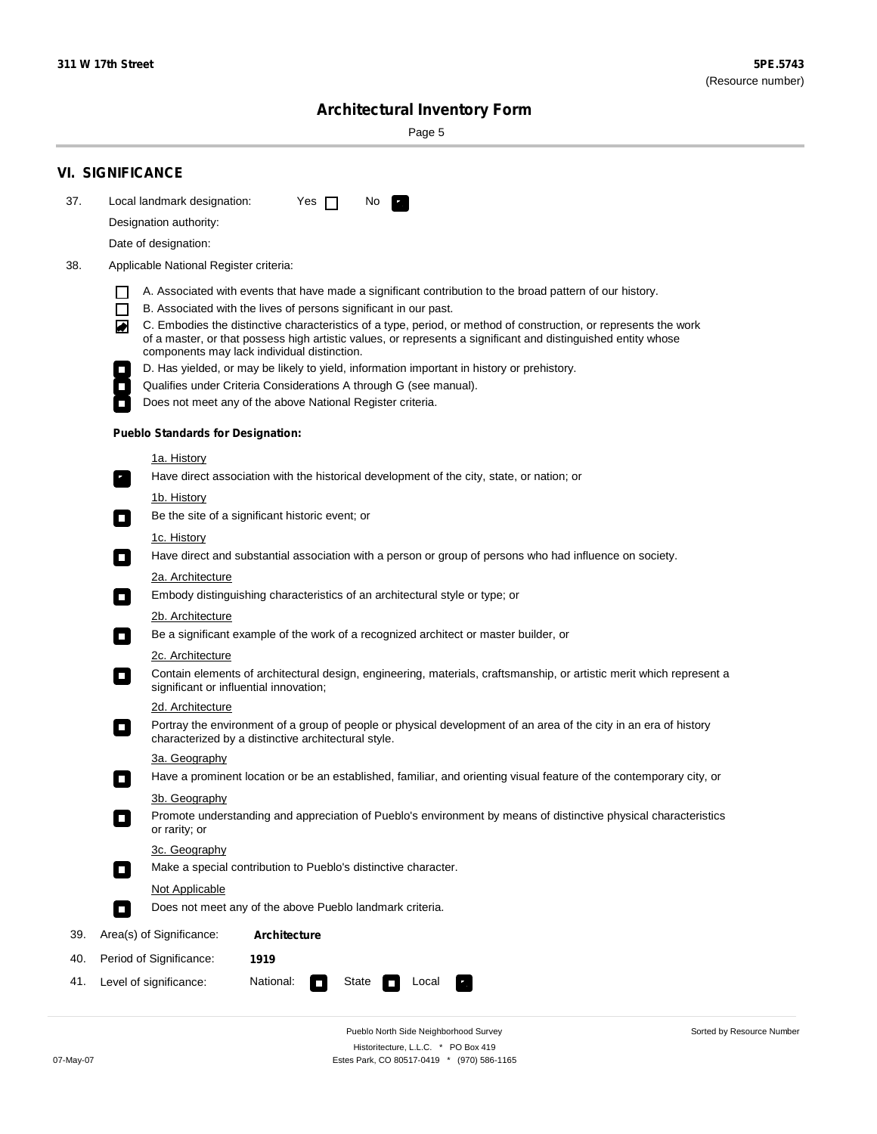۰

Sorted by Resource Number

# **Architectural Inventory Form**

Page 5

|     | <b>VI. SIGNIFICANCE</b>                                                                                                                                                                                                                                                               |
|-----|---------------------------------------------------------------------------------------------------------------------------------------------------------------------------------------------------------------------------------------------------------------------------------------|
| 37. | Local landmark designation:<br>Yes $\Box$<br>No.<br>$\mathbf{r}_\perp$                                                                                                                                                                                                                |
|     | Designation authority:                                                                                                                                                                                                                                                                |
|     | Date of designation:                                                                                                                                                                                                                                                                  |
| 38. | Applicable National Register criteria:                                                                                                                                                                                                                                                |
|     | A. Associated with events that have made a significant contribution to the broad pattern of our history.                                                                                                                                                                              |
|     | B. Associated with the lives of persons significant in our past.<br>$\mathsf{L}$                                                                                                                                                                                                      |
|     | C. Embodies the distinctive characteristics of a type, period, or method of construction, or represents the work<br>◚<br>of a master, or that possess high artistic values, or represents a significant and distinguished entity whose<br>components may lack individual distinction. |
|     | D. Has yielded, or may be likely to yield, information important in history or prehistory.                                                                                                                                                                                            |
|     | Qualifies under Criteria Considerations A through G (see manual).                                                                                                                                                                                                                     |
|     | Does not meet any of the above National Register criteria.                                                                                                                                                                                                                            |
|     | <b>Pueblo Standards for Designation:</b>                                                                                                                                                                                                                                              |
|     | <u>1a. History</u>                                                                                                                                                                                                                                                                    |
|     | Have direct association with the historical development of the city, state, or nation; or<br>$\mathbf{r}_\perp$                                                                                                                                                                       |
|     | <u>1b. History</u>                                                                                                                                                                                                                                                                    |
|     | Be the site of a significant historic event; or<br>$\blacksquare$                                                                                                                                                                                                                     |
|     | 1c. History<br>Have direct and substantial association with a person or group of persons who had influence on society.<br>$\blacksquare$                                                                                                                                              |
|     | 2a. Architecture                                                                                                                                                                                                                                                                      |
|     | Embody distinguishing characteristics of an architectural style or type; or<br>$\Box$                                                                                                                                                                                                 |
|     | 2b. Architecture                                                                                                                                                                                                                                                                      |
|     | Be a significant example of the work of a recognized architect or master builder, or<br>$\mathcal{L}_{\mathcal{A}}$                                                                                                                                                                   |
|     | 2c. Architecture                                                                                                                                                                                                                                                                      |
|     | Contain elements of architectural design, engineering, materials, craftsmanship, or artistic merit which represent a<br>$\mathcal{L}_{\mathcal{A}}$<br>significant or influential innovation;                                                                                         |
|     | 2d. Architecture                                                                                                                                                                                                                                                                      |
|     | Portray the environment of a group of people or physical development of an area of the city in an era of history<br>$\mathcal{L}_{\mathcal{A}}$<br>characterized by a distinctive architectural style.                                                                                |
|     | 3a. Geography                                                                                                                                                                                                                                                                         |
|     | Have a prominent location or be an established, familiar, and orienting visual feature of the contemporary city, or<br>П                                                                                                                                                              |
|     | 3b. Geography                                                                                                                                                                                                                                                                         |
|     | Promote understanding and appreciation of Pueblo's environment by means of distinctive physical characteristics<br>or rarity; or                                                                                                                                                      |
|     | 3c. Geography                                                                                                                                                                                                                                                                         |
|     | Make a special contribution to Pueblo's distinctive character.<br>$\overline{\phantom{a}}$                                                                                                                                                                                            |
|     | Not Applicable                                                                                                                                                                                                                                                                        |
|     | Does not meet any of the above Pueblo landmark criteria.<br>$\overline{\phantom{a}}$                                                                                                                                                                                                  |
| 39. | Area(s) of Significance:<br>Architecture                                                                                                                                                                                                                                              |
| 40. | Period of Significance:<br>1919                                                                                                                                                                                                                                                       |
| 41. | National:<br>Level of significance:<br>State<br>Local                                                                                                                                                                                                                                 |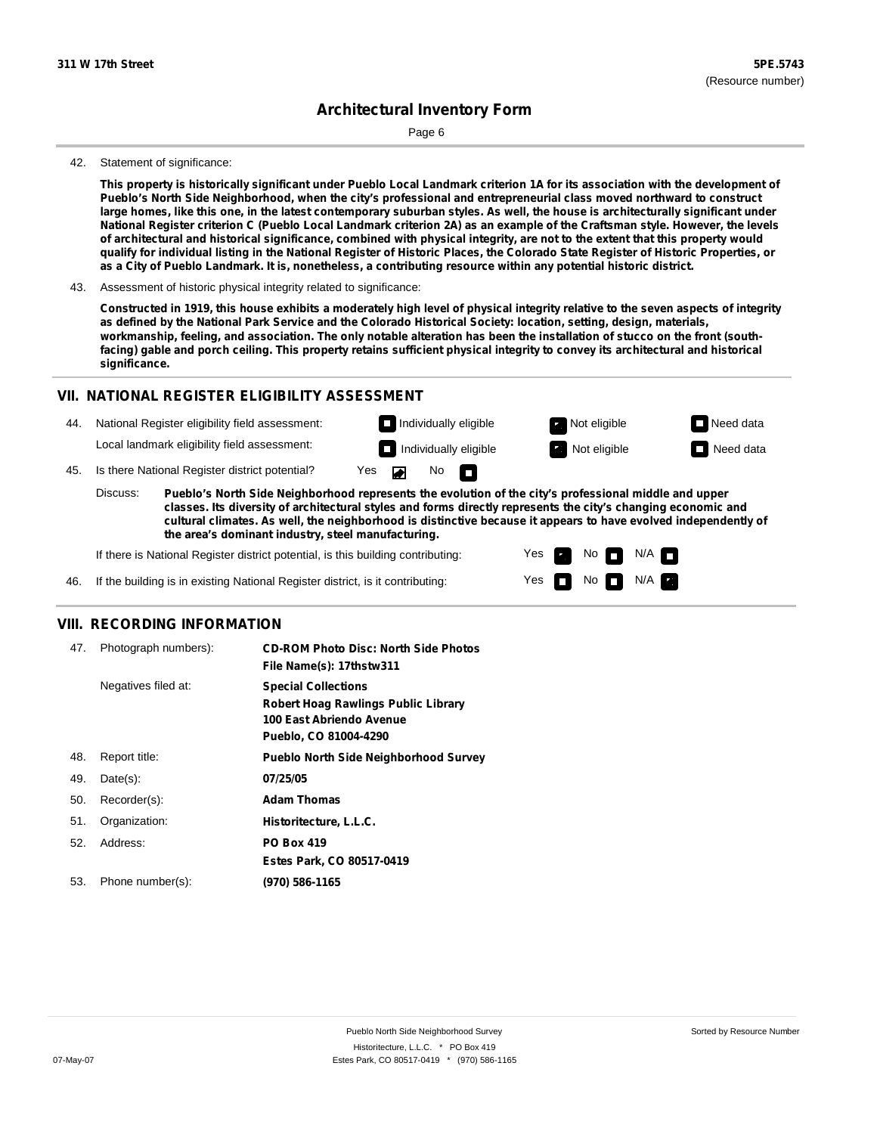Page 6

#### 42. Statement of significance:

This property is historically significant under Pueblo Local Landmark criterion 1A for its association with the development of **Pueblo's North Side Neighborhood, when the city's professional and entrepreneurial class moved northward to construct** large homes, like this one, in the latest contemporary suburban styles. As well, the house is architecturally significant under National Register criterion C (Pueblo Local Landmark criterion 2A) as an example of the Craftsman style. However, the levels of architectural and historical significance, combined with physical integrity, are not to the extent that this property would qualify for individual listing in the National Register of Historic Places, the Colorado State Register of Historic Properties, or as a City of Pueblo Landmark. It is, nonetheless, a contributing resource within any potential historic district.

Constructed in 1919, this house exhibits a moderately high level of physical integrity relative to the seven aspects of integrity as defined by the National Park Service and the Colorado Historical Society: location, setting, design, materials, workmanship, feeling, and association. The only notable alteration has been the installation of stucco on the front (southfacing) gable and porch ceiling. This property retains sufficient physical integrity to convey its architectural and historical **significance.**

### **VII. NATIONAL REGISTER ELIGIBILITY ASSESSMENT**

44. National Register eligibility field assessment: Local landmark eligibility field assessment:

**Individually eligible Not eligible** Not eligible **Need data Individually eligible Not eligible** Not eligible **Need data** 

 $N$ o  $\Box$ 

No

 $No$  N/A

 $N/A$   $\Box$ 

Yes Yes

45. Is there National Register district potential? Yes

**Pueblo's North Side Neighborhood represents the evolution of the city's professional middle and upper classes. Its diversity of architectural styles and forms directly represents the city's changing economic and cultural climates. As well, the neighborhood is distinctive because it appears to have evolved independently of the area's dominant industry, steel manufacturing.** Discuss:

 $\blacksquare$ 

If there is National Register district potential, is this building contributing:



### **VIII. RECORDING INFORMATION**

| 47. | Photograph numbers): | <b>CD-ROM Photo Disc: North Side Photos</b><br>File Name(s): 17thstw311                                                       |
|-----|----------------------|-------------------------------------------------------------------------------------------------------------------------------|
|     | Negatives filed at:  | <b>Special Collections</b><br><b>Robert Hoag Rawlings Public Library</b><br>100 East Abriendo Avenue<br>Pueblo, CO 81004-4290 |
| 48. | Report title:        | <b>Pueblo North Side Neighborhood Survey</b>                                                                                  |
| 49. | $Date(s)$ :          | 07/25/05                                                                                                                      |
| 50. | Recorder(s):         | <b>Adam Thomas</b>                                                                                                            |
| 51. | Organization:        | Historitecture, L.L.C.                                                                                                        |
| 52. | Address:             | <b>PO Box 419</b>                                                                                                             |
|     |                      | Estes Park, CO 80517-0419                                                                                                     |
| 53. | Phone number(s):     | (970) 586-1165                                                                                                                |

<sup>43.</sup> Assessment of historic physical integrity related to significance: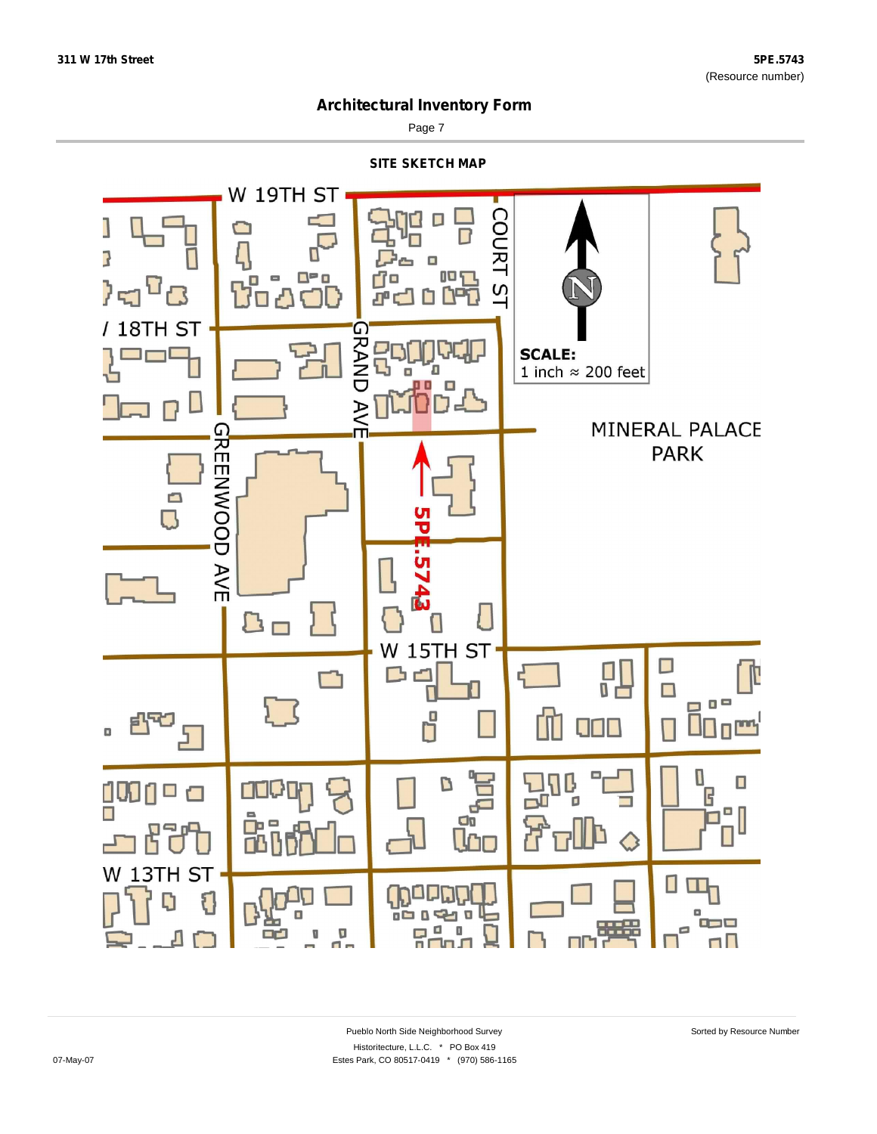

Page 7